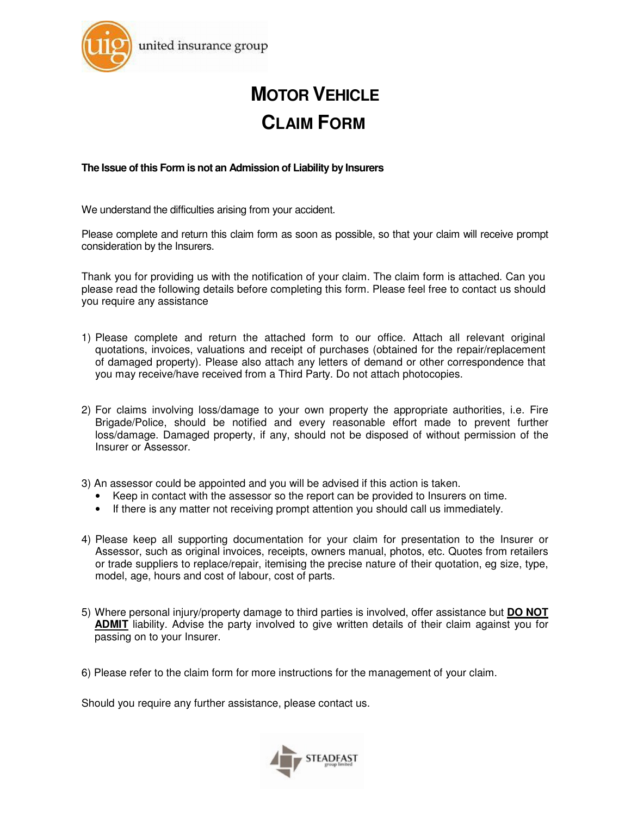

# **MOTOR VEHICLE CLAIM FORM**

**The Issue of this Form is not an Admission of Liability by Insurers** 

We understand the difficulties arising from your accident.

Please complete and return this claim form as soon as possible, so that your claim will receive prompt consideration by the Insurers.

Thank you for providing us with the notification of your claim. The claim form is attached. Can you please read the following details before completing this form. Please feel free to contact us should you require any assistance

- 1) Please complete and return the attached form to our office. Attach all relevant original quotations, invoices, valuations and receipt of purchases (obtained for the repair/replacement of damaged property). Please also attach any letters of demand or other correspondence that you may receive/have received from a Third Party. Do not attach photocopies.
- 2) For claims involving loss/damage to your own property the appropriate authorities, i.e. Fire Brigade/Police, should be notified and every reasonable effort made to prevent further loss/damage. Damaged property, if any, should not be disposed of without permission of the Insurer or Assessor.
- 3) An assessor could be appointed and you will be advised if this action is taken.
	- Keep in contact with the assessor so the report can be provided to Insurers on time.
	- If there is any matter not receiving prompt attention you should call us immediately.
- 4) Please keep all supporting documentation for your claim for presentation to the Insurer or Assessor, such as original invoices, receipts, owners manual, photos, etc. Quotes from retailers or trade suppliers to replace/repair, itemising the precise nature of their quotation, eg size, type, model, age, hours and cost of labour, cost of parts.
- 5) Where personal injury/property damage to third parties is involved, offer assistance but **DO NOT ADMIT** liability. Advise the party involved to give written details of their claim against you for passing on to your Insurer.
- 6) Please refer to the claim form for more instructions for the management of your claim.

Should you require any further assistance, please contact us.

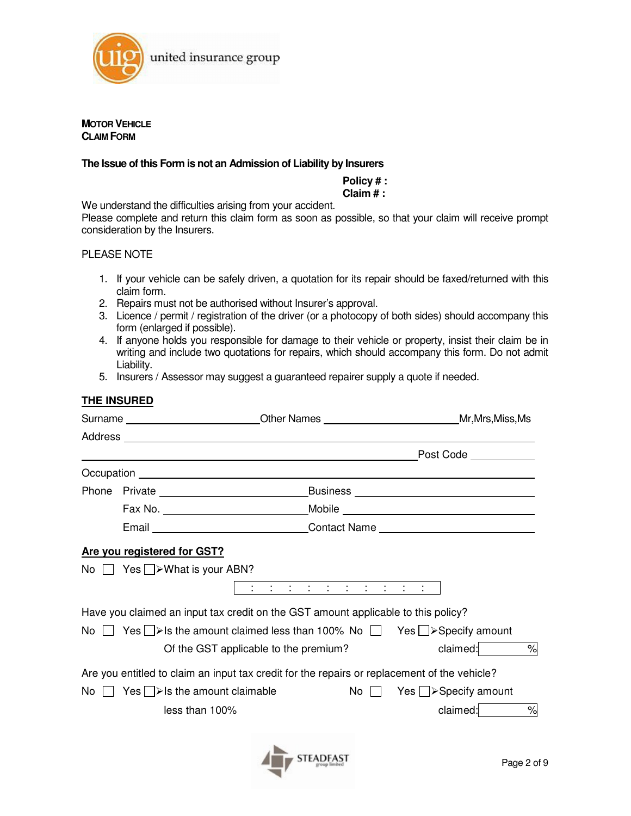

**MOTOR VEHICLE CLAIM FORM**

#### **The Issue of this Form is not an Admission of Liability by Insurers**

# **Policy # :**

### **Claim # :**

We understand the difficulties arising from your accident.

Please complete and return this claim form as soon as possible, so that your claim will receive prompt consideration by the Insurers.

#### PLEASE NOTE

- 1. If your vehicle can be safely driven, a quotation for its repair should be faxed/returned with this claim form.
- 2. Repairs must not be authorised without Insurer's approval.
- 3. Licence / permit / registration of the driver (or a photocopy of both sides) should accompany this form (enlarged if possible).
- 4. If anyone holds you responsible for damage to their vehicle or property, insist their claim be in writing and include two quotations for repairs, which should accompany this form. Do not admit Liability.
- 5. Insurers / Assessor may suggest a guaranteed repairer supply a quote if needed.

#### **THE INSURED**

|                                                                                                    |  | Surname __________________________Other Names ______________________________Mr,Mrs,Miss,Ms                                                                                                                                                                                                                                                                                                                                                                                                            |                             |  |
|----------------------------------------------------------------------------------------------------|--|-------------------------------------------------------------------------------------------------------------------------------------------------------------------------------------------------------------------------------------------------------------------------------------------------------------------------------------------------------------------------------------------------------------------------------------------------------------------------------------------------------|-----------------------------|--|
|                                                                                                    |  |                                                                                                                                                                                                                                                                                                                                                                                                                                                                                                       |                             |  |
|                                                                                                    |  | and the control of the control of the control of the control of the control of the control of the control of the                                                                                                                                                                                                                                                                                                                                                                                      | Post Code ___________       |  |
|                                                                                                    |  |                                                                                                                                                                                                                                                                                                                                                                                                                                                                                                       |                             |  |
|                                                                                                    |  |                                                                                                                                                                                                                                                                                                                                                                                                                                                                                                       |                             |  |
|                                                                                                    |  |                                                                                                                                                                                                                                                                                                                                                                                                                                                                                                       |                             |  |
|                                                                                                    |  |                                                                                                                                                                                                                                                                                                                                                                                                                                                                                                       |                             |  |
|                                                                                                    |  | Are you registered for GST?                                                                                                                                                                                                                                                                                                                                                                                                                                                                           |                             |  |
|                                                                                                    |  | No $\Box$ Yes $\Box$ >What is your ABN?<br>$\mathbf{1} \qquad \mathbf{1} \qquad \mathbf{1} \qquad \mathbf{1} \qquad \mathbf{1} \qquad \mathbf{1} \qquad \mathbf{1} \qquad \mathbf{1} \qquad \mathbf{1} \qquad \mathbf{1} \qquad \mathbf{1} \qquad \mathbf{1} \qquad \mathbf{1} \qquad \mathbf{1} \qquad \mathbf{1} \qquad \mathbf{1} \qquad \mathbf{1} \qquad \mathbf{1} \qquad \mathbf{1} \qquad \mathbf{1} \qquad \mathbf{1} \qquad \mathbf{1} \qquad \mathbf{1} \qquad \mathbf{1} \qquad \mathbf{$ |                             |  |
|                                                                                                    |  | Have you claimed an input tax credit on the GST amount applicable to this policy?                                                                                                                                                                                                                                                                                                                                                                                                                     |                             |  |
| Yes $\Box$ >Is the amount claimed less than 100% No $\Box$ Yes $\Box$ >Specify amount<br>$No$ $  $ |  |                                                                                                                                                                                                                                                                                                                                                                                                                                                                                                       |                             |  |
| claimed:<br>Of the GST applicable to the premium?                                                  |  |                                                                                                                                                                                                                                                                                                                                                                                                                                                                                                       |                             |  |
|                                                                                                    |  | Are you entitled to claim an input tax credit for the repairs or replacement of the vehicle?                                                                                                                                                                                                                                                                                                                                                                                                          |                             |  |
| No $\Box$ Yes $\Box$ > Is the amount claimable<br>No                                               |  |                                                                                                                                                                                                                                                                                                                                                                                                                                                                                                       | Yes $\Box$ > Specify amount |  |
| less than 100%                                                                                     |  |                                                                                                                                                                                                                                                                                                                                                                                                                                                                                                       | claimed:<br>$\%$            |  |
|                                                                                                    |  |                                                                                                                                                                                                                                                                                                                                                                                                                                                                                                       |                             |  |

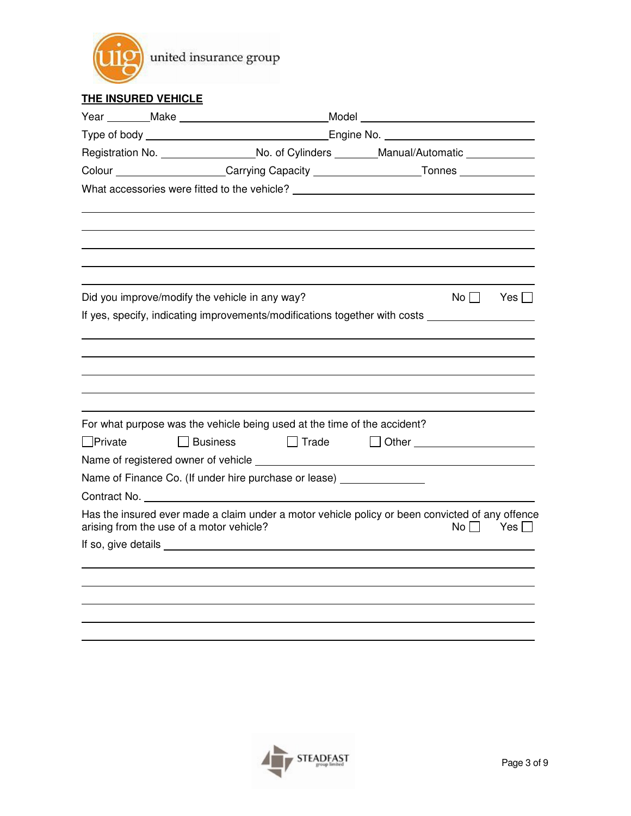

## **THE INSURED VEHICLE**

|                |                                                                                                     |                                                |              | Year ________Make ___________________________________Model _____________________                    |                                 |               |
|----------------|-----------------------------------------------------------------------------------------------------|------------------------------------------------|--------------|-----------------------------------------------------------------------------------------------------|---------------------------------|---------------|
|                |                                                                                                     |                                                |              |                                                                                                     |                                 |               |
|                |                                                                                                     |                                                |              | Registration No. ____________________No. of Cylinders ________Manual/Automatic ______________       |                                 |               |
|                | Colour ____________________Carrying Capacity _________________________Tonnes ______________________ |                                                |              |                                                                                                     |                                 |               |
|                |                                                                                                     |                                                |              | What accessories were fitted to the vehicle? ___________________________________                    |                                 |               |
|                |                                                                                                     |                                                |              |                                                                                                     |                                 |               |
|                |                                                                                                     |                                                |              |                                                                                                     |                                 |               |
|                |                                                                                                     |                                                |              |                                                                                                     |                                 |               |
|                |                                                                                                     | Did you improve/modify the vehicle in any way? |              |                                                                                                     |                                 | $No \Box$ Yes |
|                |                                                                                                     |                                                |              | If yes, specify, indicating improvements/modifications together with costs ________________________ |                                 |               |
|                |                                                                                                     |                                                |              |                                                                                                     |                                 |               |
|                |                                                                                                     |                                                |              |                                                                                                     |                                 |               |
|                |                                                                                                     |                                                |              |                                                                                                     |                                 |               |
|                |                                                                                                     |                                                |              |                                                                                                     |                                 |               |
|                |                                                                                                     |                                                |              |                                                                                                     |                                 |               |
|                |                                                                                                     |                                                |              | For what purpose was the vehicle being used at the time of the accident?                            |                                 |               |
| $\Box$ Private |                                                                                                     | $\Box$ Business                                | $\Box$ Trade |                                                                                                     | Other _________________________ |               |
|                |                                                                                                     |                                                |              |                                                                                                     |                                 |               |
|                |                                                                                                     |                                                |              | Name of Finance Co. (If under hire purchase or lease) ________________                              |                                 |               |
|                |                                                                                                     |                                                |              |                                                                                                     |                                 |               |
|                |                                                                                                     | arising from the use of a motor vehicle?       |              | Has the insured ever made a claim under a motor vehicle policy or been convicted of any offence     | No l                            | Yes $\Box$    |
|                |                                                                                                     |                                                |              |                                                                                                     |                                 |               |
|                |                                                                                                     |                                                |              |                                                                                                     |                                 |               |
|                |                                                                                                     |                                                |              |                                                                                                     |                                 |               |
|                |                                                                                                     |                                                |              |                                                                                                     |                                 |               |
|                |                                                                                                     |                                                |              |                                                                                                     |                                 |               |
|                |                                                                                                     |                                                |              |                                                                                                     |                                 |               |

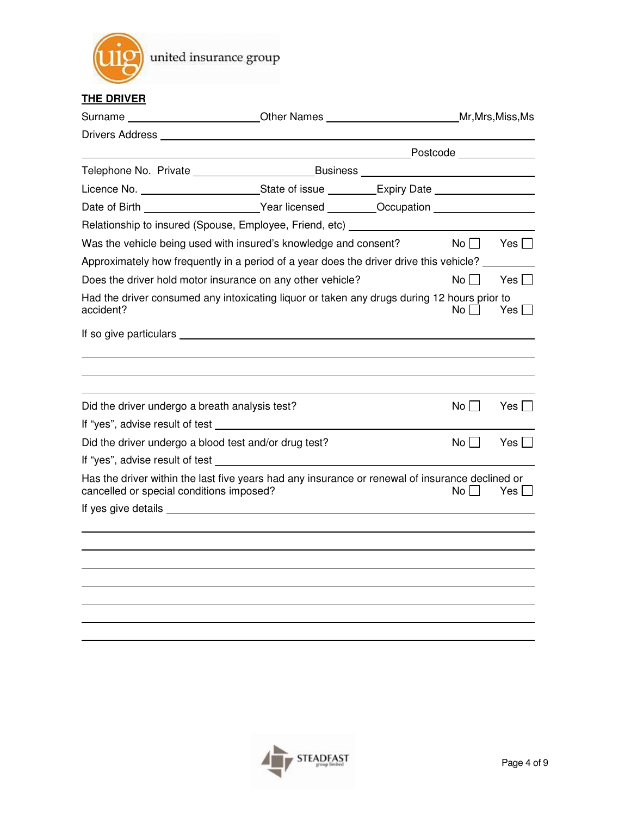

## **THE DRIVER**

|                                                                                                                                                            |  |  |             | Mr, Mrs, Miss, Ms |
|------------------------------------------------------------------------------------------------------------------------------------------------------------|--|--|-------------|-------------------|
|                                                                                                                                                            |  |  |             |                   |
|                                                                                                                                                            |  |  |             |                   |
|                                                                                                                                                            |  |  |             |                   |
| Licence No. ____________________________State of issue __________Expiry Date ______________________                                                        |  |  |             |                   |
| Date of Birth _______________________Year licensed _________Occupation ________________                                                                    |  |  |             |                   |
| Relationship to insured (Spouse, Employee, Friend, etc) ________________________                                                                           |  |  |             |                   |
| Was the vehicle being used with insured's knowledge and consent? $\blacksquare$ $\blacksquare$ $\blacksquare$ $\blacksquare$ $\blacksquare$ $\blacksquare$ |  |  |             |                   |
| Approximately how frequently in a period of a year does the driver drive this vehicle?                                                                     |  |  |             |                   |
| Does the driver hold motor insurance on any other vehicle?                                                                                                 |  |  | $No \Box$   | Yes $\Box$        |
| Had the driver consumed any intoxicating liquor or taken any drugs during 12 hours prior to<br>accident?                                                   |  |  | Noll        | Yes $\Box$        |
|                                                                                                                                                            |  |  |             |                   |
|                                                                                                                                                            |  |  |             |                   |
|                                                                                                                                                            |  |  |             |                   |
|                                                                                                                                                            |  |  |             |                   |
| Did the driver undergo a breath analysis test?                                                                                                             |  |  | $No$ $\Box$ | Yes               |
|                                                                                                                                                            |  |  |             |                   |
| Did the driver undergo a blood test and/or drug test?                                                                                                      |  |  | $No$ $\Box$ | Yes               |
|                                                                                                                                                            |  |  |             |                   |
| Has the driver within the last five years had any insurance or renewal of insurance declined or<br>cancelled or special conditions imposed?                |  |  | No l        | Yes II            |
|                                                                                                                                                            |  |  |             |                   |
|                                                                                                                                                            |  |  |             |                   |
|                                                                                                                                                            |  |  |             |                   |
|                                                                                                                                                            |  |  |             |                   |
|                                                                                                                                                            |  |  |             |                   |
|                                                                                                                                                            |  |  |             |                   |
|                                                                                                                                                            |  |  |             |                   |
|                                                                                                                                                            |  |  |             |                   |

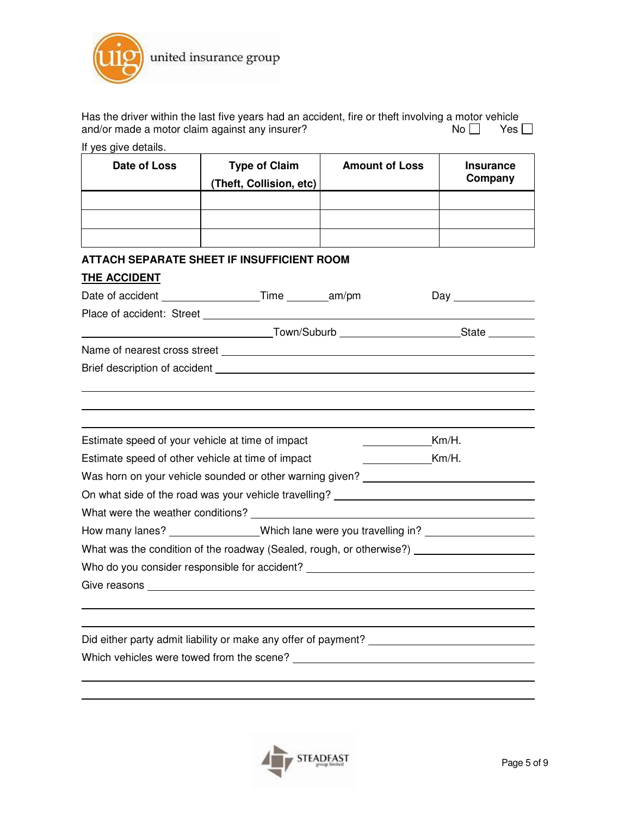

| Has the driver within the last five years had an accident, fire or theft involving a motor vehicle |      |            |
|----------------------------------------------------------------------------------------------------|------|------------|
| and/or made a motor claim against any insurer?                                                     | Noll | Yes $\Box$ |
| If yes give details.                                                                               |      |            |

| Date of Loss                                                                      | <b>Type of Claim</b><br>(Theft, Collision, etc)                                                                                                                                                                                | <b>Amount of Loss</b> | <b>Insurance</b><br>Company |  |  |
|-----------------------------------------------------------------------------------|--------------------------------------------------------------------------------------------------------------------------------------------------------------------------------------------------------------------------------|-----------------------|-----------------------------|--|--|
|                                                                                   |                                                                                                                                                                                                                                |                       |                             |  |  |
|                                                                                   |                                                                                                                                                                                                                                |                       |                             |  |  |
|                                                                                   |                                                                                                                                                                                                                                |                       |                             |  |  |
|                                                                                   | <b>ATTACH SEPARATE SHEET IF INSUFFICIENT ROOM</b>                                                                                                                                                                              |                       |                             |  |  |
| <b>THE ACCIDENT</b>                                                               |                                                                                                                                                                                                                                |                       |                             |  |  |
|                                                                                   |                                                                                                                                                                                                                                |                       |                             |  |  |
|                                                                                   |                                                                                                                                                                                                                                |                       |                             |  |  |
|                                                                                   |                                                                                                                                                                                                                                |                       |                             |  |  |
|                                                                                   |                                                                                                                                                                                                                                |                       |                             |  |  |
|                                                                                   | Brief description of accident Learning and Contract and Contract and Contract and Contract and Contract and Contract and Contract and Contract and Contract and Contract and Contract and Contract and Contract and Contract a |                       |                             |  |  |
|                                                                                   |                                                                                                                                                                                                                                |                       |                             |  |  |
|                                                                                   |                                                                                                                                                                                                                                |                       |                             |  |  |
| Estimate speed of your vehicle at time of impact                                  |                                                                                                                                                                                                                                |                       | Km/H.                       |  |  |
| Estimate speed of other vehicle at time of impact<br>$Km/H$ .                     |                                                                                                                                                                                                                                |                       |                             |  |  |
| Was horn on your vehicle sounded or other warning given? _______________________  |                                                                                                                                                                                                                                |                       |                             |  |  |
| On what side of the road was your vehicle travelling? __________________________  |                                                                                                                                                                                                                                |                       |                             |  |  |
|                                                                                   |                                                                                                                                                                                                                                |                       |                             |  |  |
| How many lanes? Which lane were you travelling in?                                |                                                                                                                                                                                                                                |                       |                             |  |  |
| What was the condition of the roadway (Sealed, rough, or otherwise?) [164] [2012] |                                                                                                                                                                                                                                |                       |                             |  |  |
|                                                                                   | Who do you consider responsible for accident? Network and the state of the state of the state of the state of                                                                                                                  |                       |                             |  |  |
|                                                                                   |                                                                                                                                                                                                                                |                       |                             |  |  |
|                                                                                   |                                                                                                                                                                                                                                |                       |                             |  |  |
|                                                                                   |                                                                                                                                                                                                                                |                       |                             |  |  |
|                                                                                   | Did either party admit liability or make any offer of payment? _________________                                                                                                                                               |                       |                             |  |  |
|                                                                                   | Which vehicles were towed from the scene? ______                                                                                                                                                                               |                       |                             |  |  |

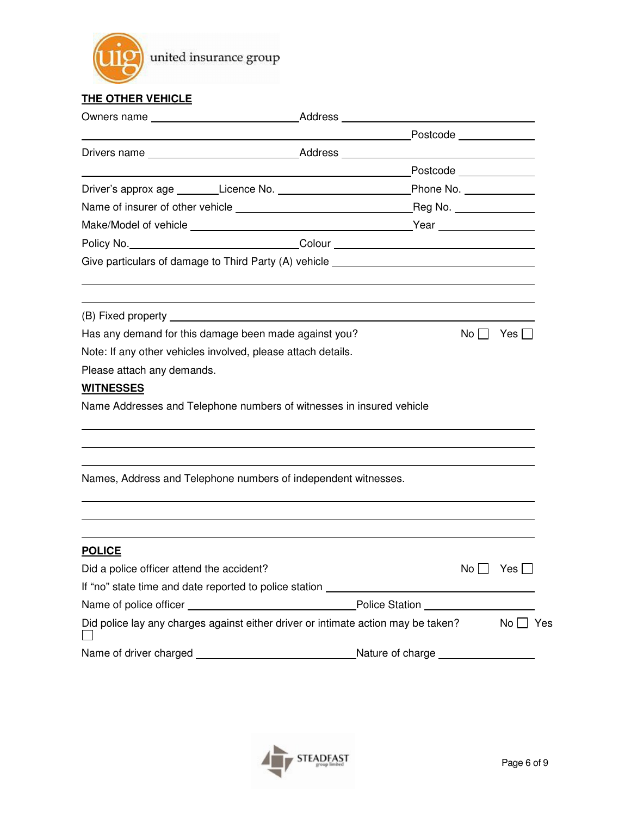

## **THE OTHER VEHICLE**

|                                                                                              |                                                                                  | Postcode _____________ |                      |
|----------------------------------------------------------------------------------------------|----------------------------------------------------------------------------------|------------------------|----------------------|
|                                                                                              |                                                                                  |                        |                      |
|                                                                                              |                                                                                  | Postcode _____________ |                      |
|                                                                                              |                                                                                  |                        |                      |
|                                                                                              |                                                                                  |                        |                      |
|                                                                                              |                                                                                  |                        |                      |
| Policy No. __________________________________Colour ____________________________             |                                                                                  |                        |                      |
| Give particulars of damage to Third Party (A) vehicle ___________________________            |                                                                                  |                        |                      |
|                                                                                              |                                                                                  |                        |                      |
|                                                                                              | ,我们也不会有什么。""我们的人,我们也不会有什么?""我们的人,我们也不会有什么?""我们的人,我们也不会有什么?""我们的人,我们也不会有什么?""我们的人 |                        |                      |
| Has any demand for this damage been made against you?                                        |                                                                                  |                        | $No$   Yes   $\Box$  |
| Note: If any other vehicles involved, please attach details.                                 |                                                                                  |                        |                      |
| Please attach any demands.                                                                   |                                                                                  |                        |                      |
| <b>WITNESSES</b>                                                                             |                                                                                  |                        |                      |
| Name Addresses and Telephone numbers of witnesses in insured vehicle                         |                                                                                  |                        |                      |
|                                                                                              |                                                                                  |                        |                      |
| Names, Address and Telephone numbers of independent witnesses.                               |                                                                                  |                        |                      |
|                                                                                              |                                                                                  |                        |                      |
| <b>POLICE</b>                                                                                |                                                                                  |                        |                      |
| Did a police officer attend the accident?                                                    |                                                                                  |                        | No $\Box$ Yes $\Box$ |
|                                                                                              |                                                                                  |                        |                      |
|                                                                                              |                                                                                  |                        |                      |
| Did police lay any charges against either driver or intimate action may be taken? $\Box$ Yes |                                                                                  |                        |                      |
|                                                                                              |                                                                                  |                        |                      |

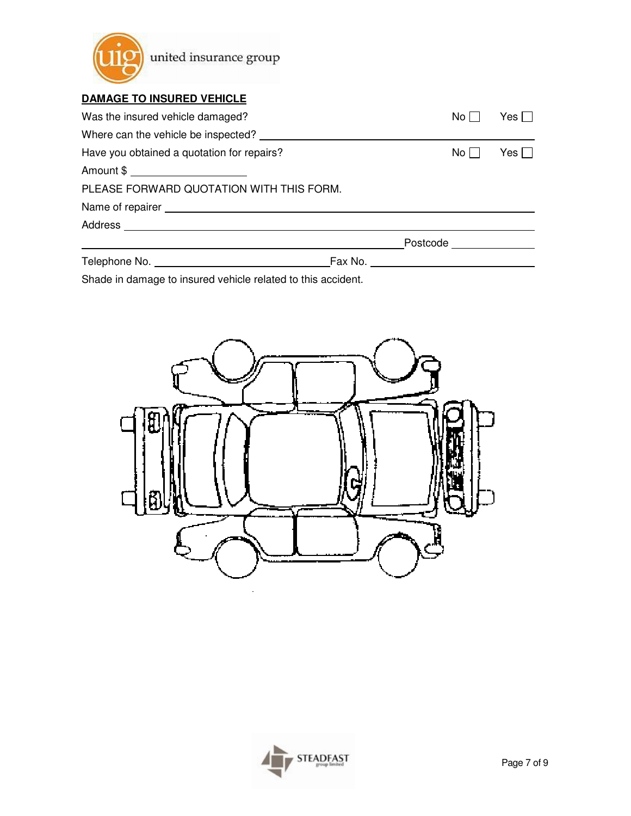

## **DAMAGE TO INSURED VEHICLE**

| Was the insured vehicle damaged?                   |         | No l                                             | Yes        |  |
|----------------------------------------------------|---------|--------------------------------------------------|------------|--|
|                                                    |         |                                                  |            |  |
| Have you obtained a quotation for repairs?<br>No l |         |                                                  | Yes $\Box$ |  |
| Amount \$ _________________________                |         |                                                  |            |  |
| PLEASE FORWARD QUOTATION WITH THIS FORM.           |         |                                                  |            |  |
|                                                    |         |                                                  |            |  |
|                                                    |         |                                                  |            |  |
|                                                    |         | Postcode <b>Exercise Service</b> Service Service |            |  |
| Telephone No.                                      | Fax No. |                                                  |            |  |

Shade in damage to insured vehicle related to this accident.



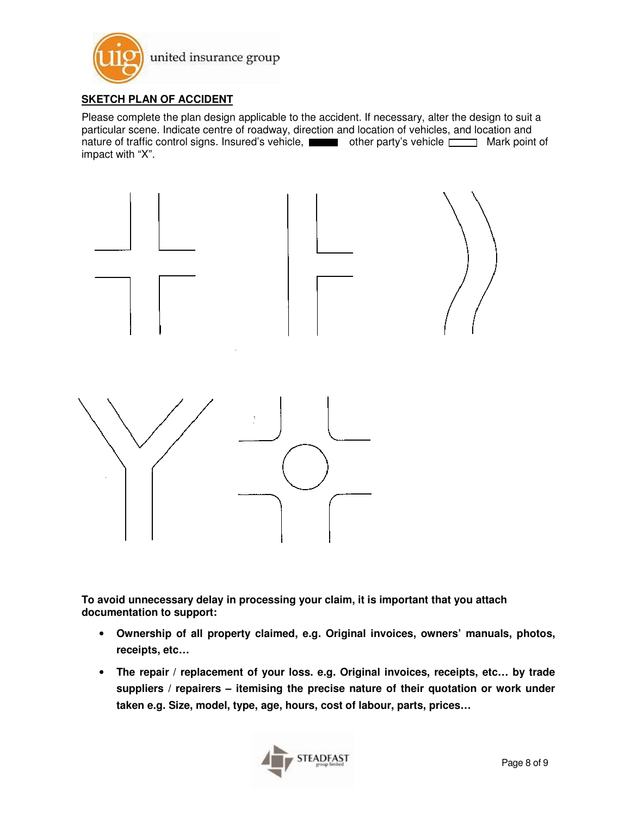

### **SKETCH PLAN OF ACCIDENT**

Please complete the plan design applicable to the accident. If necessary, alter the design to suit a particular scene. Indicate centre of roadway, direction and location of vehicles, and location and nature of traffic control signs. Insured's vehicle,  $\Box$  other party's vehicle  $\Box$  Mark point of impact with "X".



**To avoid unnecessary delay in processing your claim, it is important that you attach documentation to support:** 

- **Ownership of all property claimed, e.g. Original invoices, owners' manuals, photos, receipts, etc…**
- **The repair / replacement of your loss. e.g. Original invoices, receipts, etc… by trade suppliers / repairers – itemising the precise nature of their quotation or work under taken e.g. Size, model, type, age, hours, cost of labour, parts, prices…**